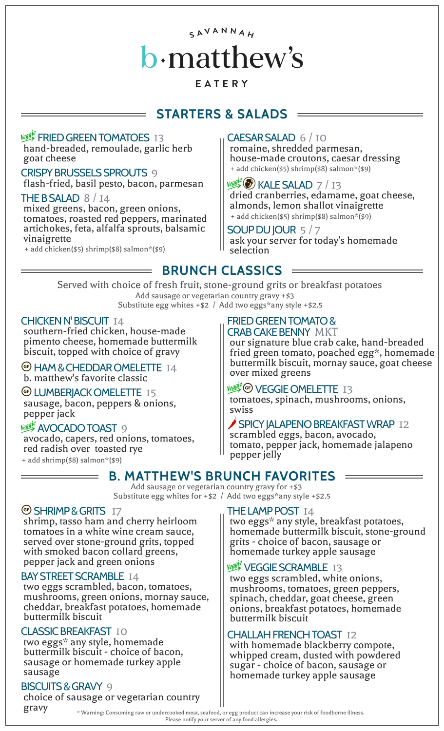# SAVANNAH  $\bf b$ ·matthew's

# EATERY

# **STARTERS & SALADS**

#### **Vegest FRIED GREEN TOMATOES 13**

hand-breaded, remoulade, garlic herb goat cheese

CRISPY BRUSSELS SPROUTS 9 flash-fried, basil pesto, bacon, parmesan  $\|\psi\|$  KALE SALAD 7 / 13

mixed greens, bacon, green onions, tomatoes, roasted red peppers, marinated artichokes, feta, alfalfa sprouts, balsamic vinaigrette

 $\overline{\phantom{a}}$ 

+ add chicken(\$5) shrimp(\$8) salmon\*(\$9)

### CAESAR SALAD 6 / 10

romaine, shredded parmesan, house-made croutons, caesar dressing + add chicken(\$5) shrimp(\$8) salmon\*(\$9)

dried cranberries, edamame, goat cheese, THE B SALAD  $\begin{array}{c} 8 / 14 \\ 14 \end{array}$  aried cranberries, edamame, goat of  $\begin{array}{c} 1 \end{array}$  almonds, lemon shallot vinaigrette + add chicken(\$5) shrimp(\$8) salmon\*(\$9)

#### SOUP DU JOUR 5 / 7 ask your server for today's homemade selection

**BRUNCH CLASSICS**

Add sausage or vegetarian country gravy +\$3 Substitute egg whites +\$2 / Add two eggs\*any style +\$2.5 Served with choice of fresh fruit, stone-ground grits or breakfast potatoes

#### CHICKEN N' BISCUIT 14

southern-fried chicken, house-made pimento cheese, homemade buttermilk biscuit, topped with choice of gravy

**E** HAM & CHEDDAR OMELETTE 14 Dutterlink biscuit,<br>b. matthew's favorite classic

<sup>G</sup> LUMBERJACK OMELETTE 15 sausage, bacon, peppers & onions,

#### **Veggl<sup>e</sup> AVOCADO TOAST** 9

 $\overline{\phantom{a}}$ 

avocado, capers, red onions, tomatoes, red radish over toasted rye + add shrimp(\$8) salmon\*(\$9)

### FRIED GREEN TOMATO &

CRAB CAKE BENNY MKT our signature blue crab cake, hand-breaded fried green tomato, poached egg\*, homemade buttermilk biscuit, mornay sauce, goat cheese

Veggy<sup>e</sup> GP VEGGIE OMELETTE 13 tomatoes, spinach, mushrooms, onions, swiss

**SPICY JALAPENO BREAKFAST WRAP 12** scrambled eggs, bacon, avocado, tomato, pepper jack, homemade jalapeno pepper jelly

# **B. MATTHEW'S BRUNCH FAVORITES**

Add sausage or vegetarian country gravy for +\$3 Substitute egg whites for +\$2 / Add two eggs\*any style +\$2.5

#### © SHRIMP & GRITS 17

shrimp, tasso ham and cherry heirloom tomatoes in a white wine cream sauce, served over stone-ground grits, topped with smoked bacon collard greens, pepper jack and green onions

#### BAY STREET SCRAMBLE 14

two eggs scrambled, bacon, tomatoes, mushrooms, green onions, mornay sauce, cheddar, breakfast potatoes, homemade buttermilk biscuit

#### CLASSIC BREAKFAST 10

two eggs\* any style, homemade buttermilk biscuit - choice of bacon, sausage or homemade turkey apple sausage

# BISCUITS & GRAVY 9

choice of sausage or vegetarian country

#### THE LAMP POST 14

two eggs\* any style, breakfast potatoes, homemade buttermilk biscuit, stone-ground grits - choice of bacon, sausage or homemade turkey apple sausage

#### **VEGGIE SCRAMBLE 13**

two eggs scrambled, white onions, mushrooms, tomatoes, green peppers, spinach, cheddar, goat cheese, green onions, breakfast potatoes, homemade buttermilk biscuit

### CHALLAH FRENCH TOAST 12

with homemade blackberry compote, whipped cream, dusted with powdered sugar - choice of bacon, sausage or homemade turkey apple sausage

 $\text{gray}$   $\text{gray}$   $\text{cm}$   $\text{cm}$   $\text{cm}$   $\text{cm}$   $\text{cm}$   $\text{cm}$   $\text{cm}$   $\text{cm}$   $\text{cm}$   $\text{cm}$   $\text{cm}$   $\text{cm}$   $\text{cm}$   $\text{cm}$   $\text{cm}$   $\text{cm}$   $\text{cm}$   $\text{cm}$   $\text{cm}$   $\text{cm}$   $\text{cm}$   $\text{cm}$   $\text{cm}$   $\text{cm}$   $\text{cm}$   $\text{cm$ Please notify your server of any food allergies.